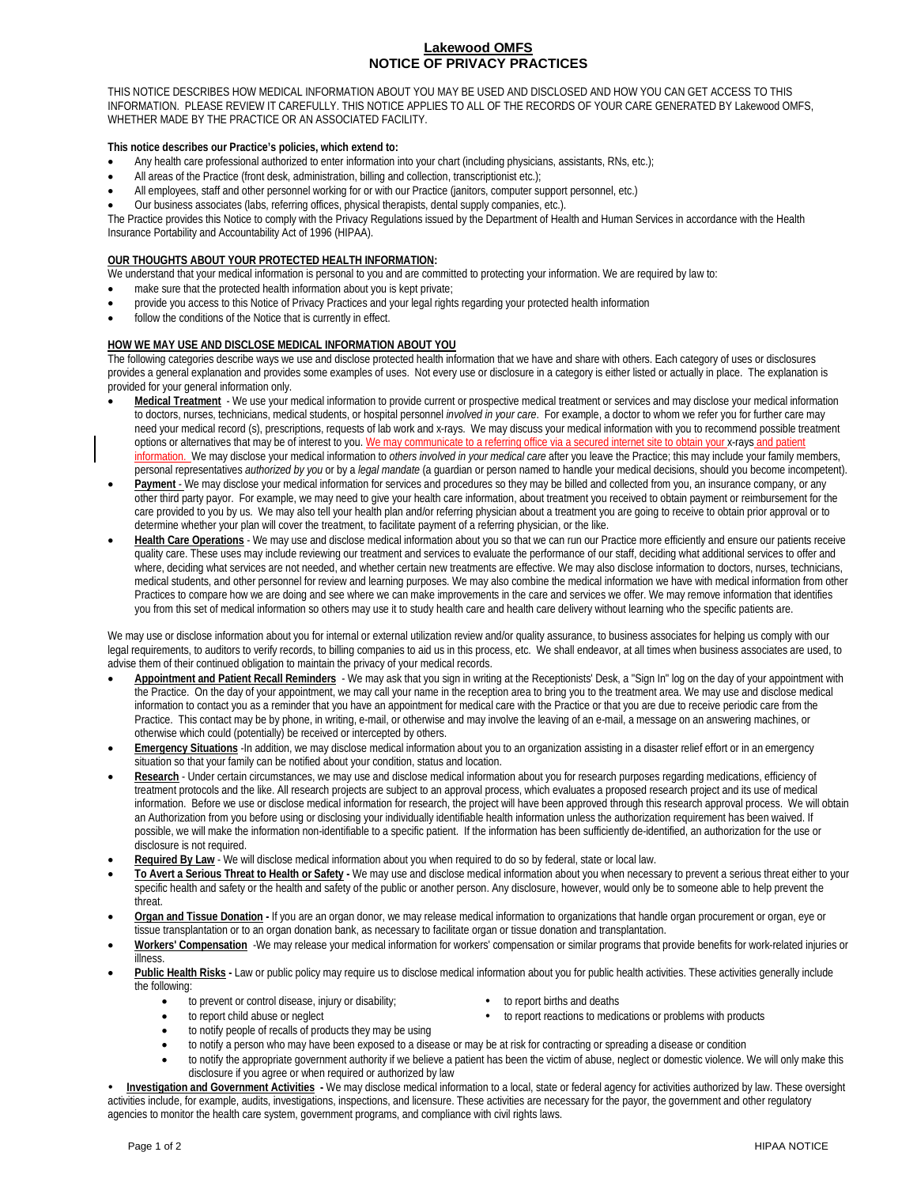## **Lakewood OMFS NOTICE OF PRIVACY PRACTICES**

THIS NOTICE DESCRIBES HOW MEDICAL INFORMATION ABOUT YOU MAY BE USED AND DISCLOSED AND HOW YOU CAN GET ACCESS TO THIS INFORMATION. PLEASE REVIEW IT CAREFULLY. THIS NOTICE APPLIES TO ALL OF THE RECORDS OF YOUR CARE GENERATED BY Lakewood OMFS, WHETHER MADE BY THE PRACTICE OR AN ASSOCIATED FACILITY.

## **This notice describes our Practice's policies, which extend to:**

- Any health care professional authorized to enter information into your chart (including physicians, assistants, RNs, etc.);
- All areas of the Practice (front desk, administration, billing and collection, transcriptionist etc.);
- All employees, staff and other personnel working for or with our Practice (janitors, computer support personnel, etc.)
- Our business associates (labs, referring offices, physical therapists, dental supply companies, etc.).

The Practice provides this Notice to comply with the Privacy Regulations issued by the Department of Health and Human Services in accordance with the Health Insurance Portability and Accountability Act of 1996 (HIPAA).

## **OUR THOUGHTS ABOUT YOUR PROTECTED HEALTH INFORMATION:**

- We understand that your medical information is personal to you and are committed to protecting your information. We are required by law to:
- make sure that the protected health information about you is kept private;
- provide you access to this Notice of Privacy Practices and your legal rights regarding your protected health information
- follow the conditions of the Notice that is currently in effect.

## **HOW WE MAY USE AND DISCLOSE MEDICAL INFORMATION ABOUT YOU**

The following categories describe ways we use and disclose protected health information that we have and share with others. Each category of uses or disclosures provides a general explanation and provides some examples of uses. Not every use or disclosure in a category is either listed or actually in place. The explanation is provided for your general information only.

- Medical Treatment We use your medical information to provide current or prospective medical treatment or services and may disclose your medical information to doctors, nurses, technicians, medical students, or hospital personnel *involved in your care*. For example, a doctor to whom we refer you for further care may need your medical record (s), prescriptions, requests of lab work and x-rays. We may discuss your medical information with you to recommend possible treatment options or alternatives that may be of interest to you. We may communicate to a referring office via a secured internet site to obtain your x-rays and patient information. We may disclose your medical information to *others involved in your medical care* after you leave the Practice; this may include your family members, personal representatives *authorized by you* or by a *legal mandate* (a guardian or person named to handle your medical decisions, should you become incompetent).
- Payment We may disclose your medical information for services and procedures so they may be billed and collected from you, an insurance company, or any other third party payor. For example, we may need to give your health care information, about treatment you received to obtain payment or reimbursement for the care provided to you by us. We may also tell your health plan and/or referring physician about a treatment you are going to receive to obtain prior approval or to determine whether your plan will cover the treatment, to facilitate payment of a referring physician, or the like.
- **Health Care Operations** We may use and disclose medical information about you so that we can run our Practice more efficiently and ensure our patients receive quality care. These uses may include reviewing our treatment and services to evaluate the performance of our staff, deciding what additional services to offer and where, deciding what services are not needed, and whether certain new treatments are effective. We may also disclose information to doctors, nurses, technicians, medical students, and other personnel for review and learning purposes. We may also combine the medical information we have with medical information from other Practices to compare how we are doing and see where we can make improvements in the care and services we offer. We may remove information that identifies you from this set of medical information so others may use it to study health care and health care delivery without learning who the specific patients are.

We may use or disclose information about you for internal or external utilization review and/or quality assurance, to business associates for helping us comply with our legal requirements, to auditors to verify records, to billing companies to aid us in this process, etc. We shall endeavor, at all times when business associates are used, to advise them of their continued obligation to maintain the privacy of your medical records.

- **Appointment and Patient Recall Reminders** We may ask that you sign in writing at the Receptionists' Desk, a "Sign In" log on the day of your appointment with the Practice. On the day of your appointment, we may call your name in the reception area to bring you to the treatment area. We may use and disclose medical information to contact you as a reminder that you have an appointment for medical care with the Practice or that you are due to receive periodic care from the Practice. This contact may be by phone, in writing, e-mail, or otherwise and may involve the leaving of an e-mail, a message on an answering machines, or otherwise which could (potentially) be received or intercepted by others.
- **Emergency Situations** -In addition, we may disclose medical information about you to an organization assisting in a disaster relief effort or in an emergency situation so that your family can be notified about your condition, status and location.
- **Research** Under certain circumstances, we may use and disclose medical information about you for research purposes regarding medications, efficiency of treatment protocols and the like. All research projects are subject to an approval process, which evaluates a proposed research project and its use of medical information. Before we use or disclose medical information for research, the project will have been approved through this research approval process. We will obtain an Authorization from you before using or disclosing your individually identifiable health information unless the authorization requirement has been waived. If possible, we will make the information non-identifiable to a specific patient. If the information has been sufficiently de-identified, an authorization for the use or disclosure is not required.
- **Required By Law** We will disclose medical information about you when required to do so by federal, state or local law.
- **To Avert a Serious Threat to Health or Safety -** We may use and disclose medical information about you when necessary to prevent a serious threat either to your specific health and safety or the health and safety of the public or another person. Any disclosure, however, would only be to someone able to help prevent the threat.
- **Organ and Tissue Donation -** If you are an organ donor, we may release medical information to organizations that handle organ procurement or organ, eye or tissue transplantation or to an organ donation bank, as necessary to facilitate organ or tissue donation and transplantation.
- **Workers' Compensation** -We may release your medical information for workers' compensation or similar programs that provide benefits for work-related injuries or illness.
- Public Health Risks Law or public policy may require us to disclose medical information about you for public health activities. These activities generally include the following:
	- to prevent or control disease, injury or disability; **the example of the report births and deaths**
- - to report child abuse or neglect to report reactions to medications or problems with products
	- to notify people of recalls of products they may be using
	- to notify a person who may have been exposed to a disease or may be at risk for contracting or spreading a disease or condition
	- to notify the appropriate government authority if we believe a patient has been the victim of abuse, neglect or domestic violence. We will only make this disclosure if you agree or when required or authorized by law

 **Investigation and Government Activities -** We may disclose medical information to a local, state or federal agency for activities authorized by law. These oversight activities include, for example, audits, investigations, inspections, and licensure. These activities are necessary for the payor, the government and other regulatory agencies to monitor the health care system, government programs, and compliance with civil rights laws.